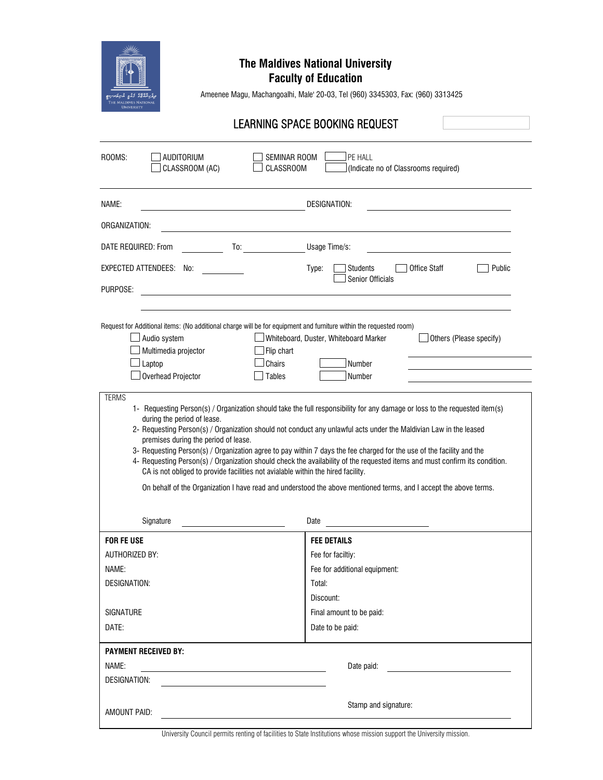

## **The Maldives National University**

**Faculty of Education**

Ameenee Magu, Machangoalhi, Male' 20-03, Tel (960) 3345303, Fax: (960) 3313425

## LEARNING SPACE BOOKING REQUEST

| PE HALL<br>ROOMS:<br>AUDITORIUM<br>SEMINAR ROOM<br>CLASSROOM (AC)<br><b>CLASSROOM</b><br>(Indicate no of Classrooms required)                                                                                                                                                                                                                                                                           |                                                                                                                                                                                                                                                                                                                                                                                                                                                                                                                                                                                                 |  |  |  |
|---------------------------------------------------------------------------------------------------------------------------------------------------------------------------------------------------------------------------------------------------------------------------------------------------------------------------------------------------------------------------------------------------------|-------------------------------------------------------------------------------------------------------------------------------------------------------------------------------------------------------------------------------------------------------------------------------------------------------------------------------------------------------------------------------------------------------------------------------------------------------------------------------------------------------------------------------------------------------------------------------------------------|--|--|--|
| NAME:                                                                                                                                                                                                                                                                                                                                                                                                   | DESIGNATION:                                                                                                                                                                                                                                                                                                                                                                                                                                                                                                                                                                                    |  |  |  |
| ORGANIZATION:                                                                                                                                                                                                                                                                                                                                                                                           |                                                                                                                                                                                                                                                                                                                                                                                                                                                                                                                                                                                                 |  |  |  |
| DATE REQUIRED: From<br>To:                                                                                                                                                                                                                                                                                                                                                                              | Usage Time/s:                                                                                                                                                                                                                                                                                                                                                                                                                                                                                                                                                                                   |  |  |  |
| EXPECTED ATTENDEES: No:                                                                                                                                                                                                                                                                                                                                                                                 | <b>Office Staff</b><br>Public<br>Type:<br><b>Students</b><br><b>Senior Officials</b>                                                                                                                                                                                                                                                                                                                                                                                                                                                                                                            |  |  |  |
| PURPOSE:                                                                                                                                                                                                                                                                                                                                                                                                |                                                                                                                                                                                                                                                                                                                                                                                                                                                                                                                                                                                                 |  |  |  |
| Request for Additional items: (No additional charge will be for equipment and furniture within the requested room)<br>Audio system<br>Multimedia projector<br>Flip chart<br>Laptop<br>Chairs<br>Overhead Projector<br>Tables<br><b>TERMS</b><br>during the period of lease.<br>premises during the period of lease.<br>CA is not obliged to provide facilities not avialable within the hired facility. | Whiteboard, Duster, Whiteboard Marker<br>Others (Please specify)<br>Number<br>Number<br>1- Requesting Person(s) / Organization should take the full responsibility for any damage or loss to the requested item(s)<br>2- Requesting Person(s) / Organization should not conduct any unlawful acts under the Maldivian Law in the leased<br>3- Requesting Person(s) / Organization agree to pay within 7 days the fee charged for the use of the facility and the<br>4- Requesting Person(s) / Organization should check the availability of the requested items and must confirm its condition. |  |  |  |
|                                                                                                                                                                                                                                                                                                                                                                                                         | On behalf of the Organization I have read and understood the above mentioned terms, and I accept the above terms.                                                                                                                                                                                                                                                                                                                                                                                                                                                                               |  |  |  |
| Signature                                                                                                                                                                                                                                                                                                                                                                                               | Date                                                                                                                                                                                                                                                                                                                                                                                                                                                                                                                                                                                            |  |  |  |
| <b>FOR FE USE</b>                                                                                                                                                                                                                                                                                                                                                                                       | <b>FEE DETAILS</b>                                                                                                                                                                                                                                                                                                                                                                                                                                                                                                                                                                              |  |  |  |
| <b>AUTHORIZED BY:</b>                                                                                                                                                                                                                                                                                                                                                                                   | Fee for faciltiy:                                                                                                                                                                                                                                                                                                                                                                                                                                                                                                                                                                               |  |  |  |
| NAME:                                                                                                                                                                                                                                                                                                                                                                                                   | Fee for additional equipment:                                                                                                                                                                                                                                                                                                                                                                                                                                                                                                                                                                   |  |  |  |
| DESIGNATION:                                                                                                                                                                                                                                                                                                                                                                                            | Total:                                                                                                                                                                                                                                                                                                                                                                                                                                                                                                                                                                                          |  |  |  |
|                                                                                                                                                                                                                                                                                                                                                                                                         | Discount:                                                                                                                                                                                                                                                                                                                                                                                                                                                                                                                                                                                       |  |  |  |
| SIGNATURE                                                                                                                                                                                                                                                                                                                                                                                               | Final amount to be paid:                                                                                                                                                                                                                                                                                                                                                                                                                                                                                                                                                                        |  |  |  |
| DATE:                                                                                                                                                                                                                                                                                                                                                                                                   | Date to be paid:                                                                                                                                                                                                                                                                                                                                                                                                                                                                                                                                                                                |  |  |  |
| <b>PAYMENT RECEIVED BY:</b>                                                                                                                                                                                                                                                                                                                                                                             |                                                                                                                                                                                                                                                                                                                                                                                                                                                                                                                                                                                                 |  |  |  |
| NAME:<br>the control of the control of the control of the control of the control of the control of                                                                                                                                                                                                                                                                                                      | Date paid:<br><u> 1989 - Andrea Station Books, amerikansk politik (</u>                                                                                                                                                                                                                                                                                                                                                                                                                                                                                                                         |  |  |  |
| DESIGNATION:                                                                                                                                                                                                                                                                                                                                                                                            |                                                                                                                                                                                                                                                                                                                                                                                                                                                                                                                                                                                                 |  |  |  |
| AMOUNT PAID:                                                                                                                                                                                                                                                                                                                                                                                            | Stamp and signature:                                                                                                                                                                                                                                                                                                                                                                                                                                                                                                                                                                            |  |  |  |

University Council permits renting of facilities to State Institutions whose mission support the University mission.